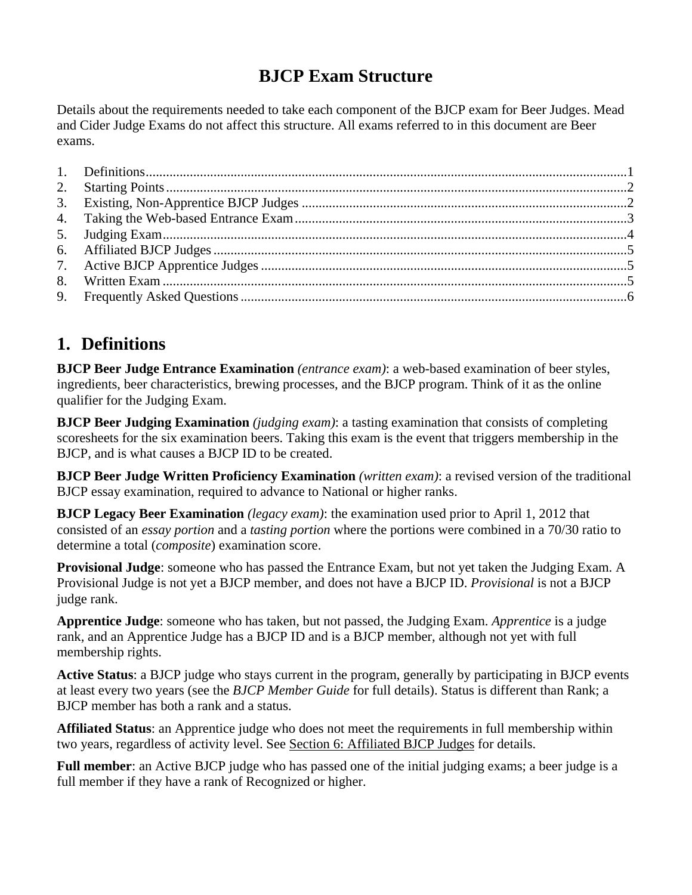### **BJCP Exam Structure**

Details about the requirements needed to take each component of the BJCP exam for Beer Judges. Mead and Cider Judge Exams do not affect this structure. All exams referred to in this document are Beer exams.

### <span id="page-0-0"></span>**1. Definitions**

**BJCP Beer Judge Entrance Examination** *(entrance exam)*: a web-based examination of beer styles, ingredients, beer characteristics, brewing processes, and the BJCP program. Think of it as the online qualifier for the Judging Exam.

**BJCP Beer Judging Examination** *(judging exam)*: a tasting examination that consists of completing scoresheets for the six examination beers. Taking this exam is the event that triggers membership in the BJCP, and is what causes a BJCP ID to be created.

**BJCP Beer Judge Written Proficiency Examination** *(written exam)*: a revised version of the traditional BJCP essay examination, required to advance to National or higher ranks.

**BJCP Legacy Beer Examination** *(legacy exam)*: the examination used prior to April 1, 2012 that consisted of an *essay portion* and a *tasting portion* where the portions were combined in a 70/30 ratio to determine a total (*composite*) examination score.

**Provisional Judge**: someone who has passed the Entrance Exam, but not yet taken the Judging Exam. A Provisional Judge is not yet a BJCP member, and does not have a BJCP ID. *Provisional* is not a BJCP judge rank.

**Apprentice Judge**: someone who has taken, but not passed, the Judging Exam. *Apprentice* is a judge rank, and an Apprentice Judge has a BJCP ID and is a BJCP member, although not yet with full membership rights.

**Active Status**: a BJCP judge who stays current in the program, generally by participating in BJCP events at least every two years (see the *BJCP Member Guide* for full details). Status is different than Rank; a BJCP member has both a rank and a status.

**Affiliated Status**: an Apprentice judge who does not meet the requirements in full membership within two years, regardless of activity level. See Section [6](#page-4-0): [Affiliated BJCP Judges](#page-4-0) for details.

**Full member**: an Active BJCP judge who has passed one of the initial judging exams; a beer judge is a full member if they have a rank of Recognized or higher.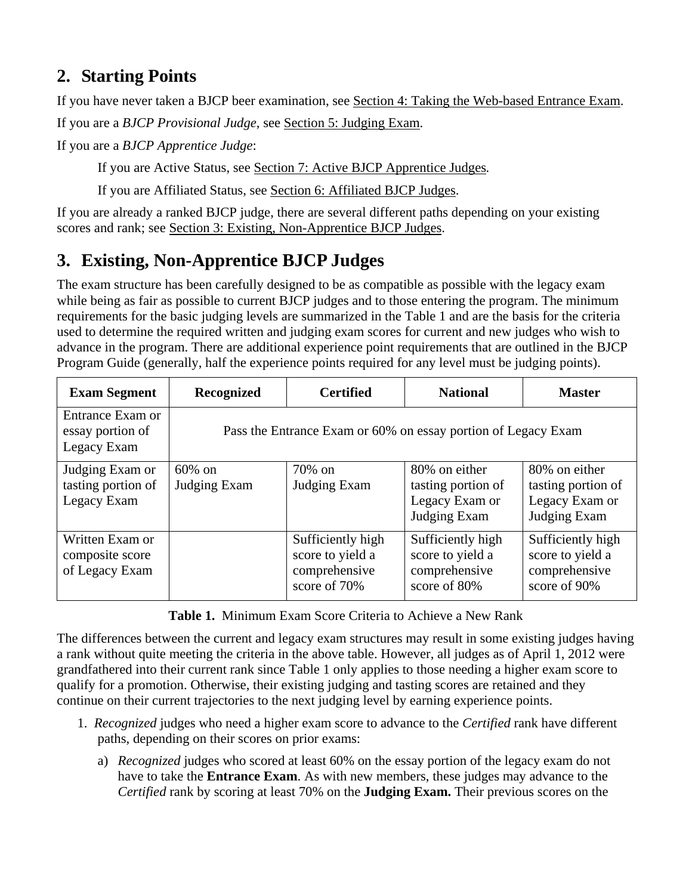# <span id="page-1-0"></span>**2. Starting Points**

If you have never taken a BJCP beer examination, see Section [4: Taking the Web-based Entrance Exam](#page-2-0).

If you are a *BJCP Provisional Judge*, see Section [5](#page-3-0): [Judging Exam.](#page-3-0)

If you are a *BJCP Apprentice Judge*:

If you are Active Status, see Section [7: Active BJCP Apprentice Judges](#page-4-1)*.* 

If you are Affiliated Status, see Section [6](#page-4-0): [Affiliated BJCP Judges](#page-4-0).

If you are already a ranked BJCP judge, there are several different paths depending on your existing scores and rank; see Section [3: Existing, Non-Apprentice BJCP Judges.](#page-1-1)

# <span id="page-1-1"></span>**3. Existing, Non-Apprentice BJCP Judges**

The exam structure has been carefully designed to be as compatible as possible with the legacy exam while being as fair as possible to current BJCP judges and to those entering the program. The minimum requirements for the basic judging levels are summarized in the Table 1 and are the basis for the criteria used to determine the required written and judging exam scores for current and new judges who wish to advance in the program. There are additional experience point requirements that are outlined in the BJCP Program Guide (generally, half the experience points required for any level must be judging points).

| <b>Exam Segment</b>                                  | Recognized                                                    | <b>Certified</b>                                                       | <b>National</b>                                                        | <b>Master</b>                                                          |  |  |
|------------------------------------------------------|---------------------------------------------------------------|------------------------------------------------------------------------|------------------------------------------------------------------------|------------------------------------------------------------------------|--|--|
| Entrance Exam or<br>essay portion of<br>Legacy Exam  | Pass the Entrance Exam or 60% on essay portion of Legacy Exam |                                                                        |                                                                        |                                                                        |  |  |
| Judging Exam or<br>tasting portion of<br>Legacy Exam | $60\%$ on<br>Judging Exam                                     | 70% on<br>Judging Exam                                                 | 80% on either<br>tasting portion of<br>Legacy Exam or<br>Judging Exam  | 80% on either<br>tasting portion of<br>Legacy Exam or<br>Judging Exam  |  |  |
| Written Exam or<br>composite score<br>of Legacy Exam |                                                               | Sufficiently high<br>score to yield a<br>comprehensive<br>score of 70% | Sufficiently high<br>score to yield a<br>comprehensive<br>score of 80% | Sufficiently high<br>score to yield a<br>comprehensive<br>score of 90% |  |  |

**Table 1.** Minimum Exam Score Criteria to Achieve a New Rank

The differences between the current and legacy exam structures may result in some existing judges having a rank without quite meeting the criteria in the above table. However, all judges as of April 1, 2012 were grandfathered into their current rank since Table 1 only applies to those needing a higher exam score to qualify for a promotion. Otherwise, their existing judging and tasting scores are retained and they continue on their current trajectories to the next judging level by earning experience points.

- 1. *Recognized* judges who need a higher exam score to advance to the *Certified* rank have different paths, depending on their scores on prior exams:
	- a) *Recognized* judges who scored at least 60% on the essay portion of the legacy exam do not have to take the **Entrance Exam**. As with new members, these judges may advance to the *Certified* rank by scoring at least 70% on the **Judging Exam.** Their previous scores on the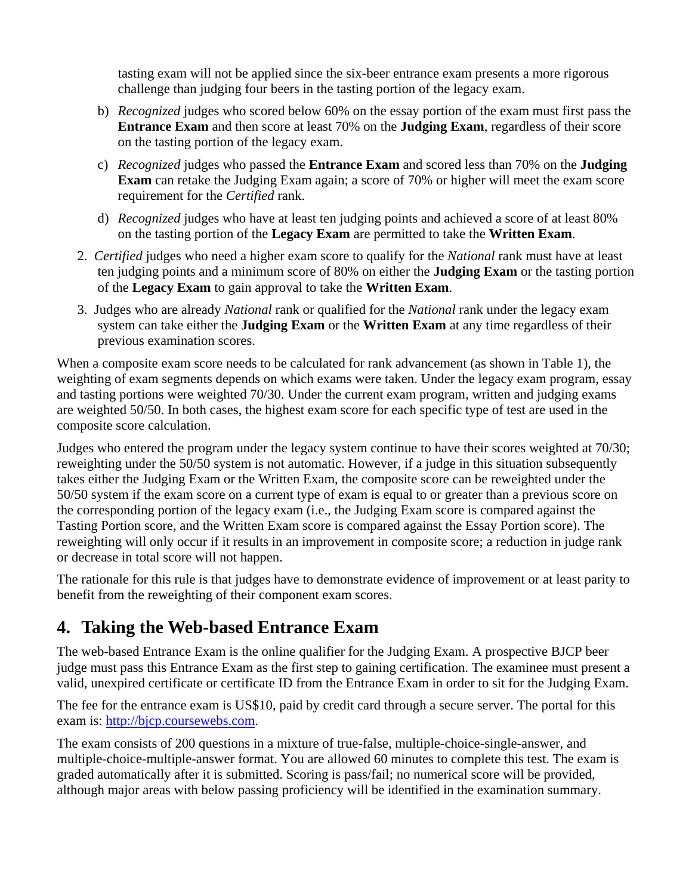tasting exam will not be applied since the six-beer entrance exam presents a more rigorous challenge than judging four beers in the tasting portion of the legacy exam.

- b) *Recognized* judges who scored below 60% on the essay portion of the exam must first pass the **Entrance Exam** and then score at least 70% on the **Judging Exam**, regardless of their score on the tasting portion of the legacy exam.
- c) *Recognized* judges who passed the **Entrance Exam** and scored less than 70% on the **Judging Exam** can retake the Judging Exam again; a score of 70% or higher will meet the exam score requirement for the *Certified* rank.
- d) *Recognized* judges who have at least ten judging points and achieved a score of at least 80% on the tasting portion of the **Legacy Exam** are permitted to take the **Written Exam**.
- 2. *Certified* judges who need a higher exam score to qualify for the *National* rank must have at least ten judging points and a minimum score of 80% on either the **Judging Exam** or the tasting portion of the **Legacy Exam** to gain approval to take the **Written Exam**.
- 3. Judges who are already *National* rank or qualified for the *National* rank under the legacy exam system can take either the **Judging Exam** or the **Written Exam** at any time regardless of their previous examination scores.

When a composite exam score needs to be calculated for rank advancement (as shown in Table 1), the weighting of exam segments depends on which exams were taken. Under the legacy exam program, essay and tasting portions were weighted 70/30. Under the current exam program, written and judging exams are weighted 50/50. In both cases, the highest exam score for each specific type of test are used in the composite score calculation.

Judges who entered the program under the legacy system continue to have their scores weighted at 70/30; reweighting under the 50/50 system is not automatic. However, if a judge in this situation subsequently takes either the Judging Exam or the Written Exam, the composite score can be reweighted under the 50/50 system if the exam score on a current type of exam is equal to or greater than a previous score on the corresponding portion of the legacy exam (i.e., the Judging Exam score is compared against the Tasting Portion score, and the Written Exam score is compared against the Essay Portion score). The reweighting will only occur if it results in an improvement in composite score; a reduction in judge rank or decrease in total score will not happen.

The rationale for this rule is that judges have to demonstrate evidence of improvement or at least parity to benefit from the reweighting of their component exam scores.

### <span id="page-2-0"></span>**4. Taking the Web-based Entrance Exam**

The web-based Entrance Exam is the online qualifier for the Judging Exam. A prospective BJCP beer judge must pass this Entrance Exam as the first step to gaining certification. The examinee must present a valid, unexpired certificate or certificate ID from the Entrance Exam in order to sit for the Judging Exam.

The fee for the entrance exam is US\$10, paid by credit card through a secure server. The portal for this exam is: [http://bjcp.coursewebs.com.](http://bjcp.coursewebs.com/)

The exam consists of 200 questions in a mixture of true-false, multiple-choice-single-answer, and multiple-choice-multiple-answer format. You are allowed 60 minutes to complete this test. The exam is graded automatically after it is submitted. Scoring is pass/fail; no numerical score will be provided, although major areas with below passing proficiency will be identified in the examination summary.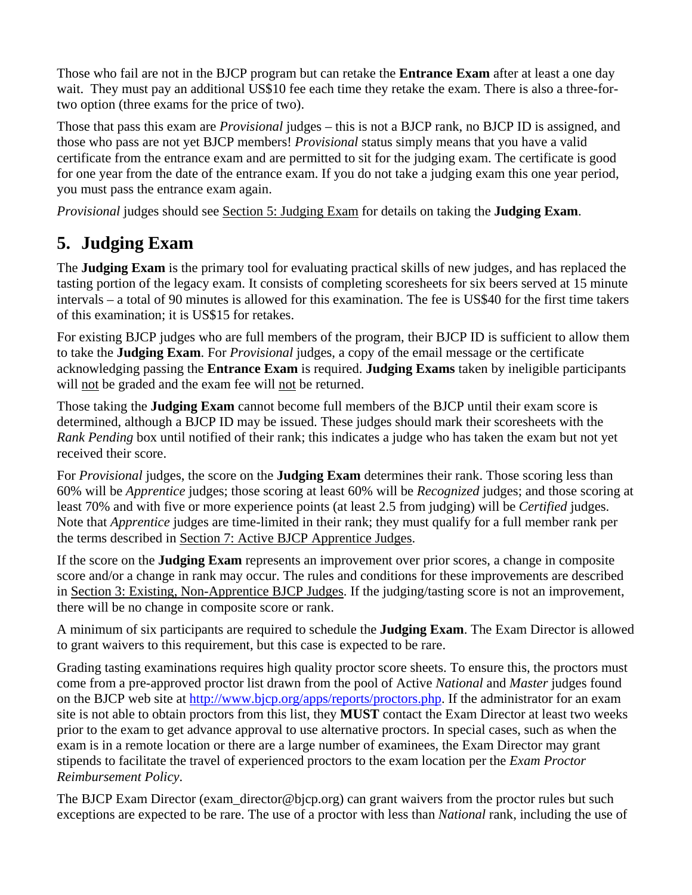Those who fail are not in the BJCP program but can retake the **Entrance Exam** after at least a one day wait. They must pay an additional US\$10 fee each time they retake the exam. There is also a three-fortwo option (three exams for the price of two).

Those that pass this exam are *Provisional* judges – this is not a BJCP rank, no BJCP ID is assigned, and those who pass are not yet BJCP members! *Provisional* status simply means that you have a valid certificate from the entrance exam and are permitted to sit for the judging exam. The certificate is good for one year from the date of the entrance exam. If you do not take a judging exam this one year period, you must pass the entrance exam again.

*Provisional* judges should see Section [5](#page-3-0): [Judging Exam](#page-3-0) for details on taking the **Judging Exam**.

# <span id="page-3-0"></span>**5. Judging Exam**

The **Judging Exam** is the primary tool for evaluating practical skills of new judges, and has replaced the tasting portion of the legacy exam. It consists of completing scoresheets for six beers served at 15 minute intervals – a total of 90 minutes is allowed for this examination. The fee is US\$40 for the first time takers of this examination; it is US\$15 for retakes.

For existing BJCP judges who are full members of the program, their BJCP ID is sufficient to allow them to take the **Judging Exam**. For *Provisional* judges, a copy of the email message or the certificate acknowledging passing the **Entrance Exam** is required. **Judging Exams** taken by ineligible participants will not be graded and the exam fee will not be returned.

Those taking the **Judging Exam** cannot become full members of the BJCP until their exam score is determined, although a BJCP ID may be issued. These judges should mark their scoresheets with the *Rank Pending* box until notified of their rank; this indicates a judge who has taken the exam but not yet received their score.

For *Provisional* judges, the score on the **Judging Exam** determines their rank. Those scoring less than 60% will be *Apprentice* judges; those scoring at least 60% will be *Recognized* judges; and those scoring at least 70% and with five or more experience points (at least 2.5 from judging) will be *Certified* judges. Note that *Apprentice* judges are time-limited in their rank; they must qualify for a full member rank per the terms described in Section [7](#page-4-1): [Active BJCP Apprentice Judges.](#page-4-1)

If the score on the **Judging Exam** represents an improvement over prior scores, a change in composite score and/or a change in rank may occur. The rules and conditions for these improvements are described in Section [3: Existing, Non-Apprentice BJCP Judges](#page-1-1). If the judging/tasting score is not an improvement, there will be no change in composite score or rank.

A minimum of six participants are required to schedule the **Judging Exam**. The Exam Director is allowed to grant waivers to this requirement, but this case is expected to be rare.

Grading tasting examinations requires high quality proctor score sheets. To ensure this, the proctors must come from a pre-approved proctor list drawn from the pool of Active *National* and *Master* judges found on the BJCP web site at http://www.bjcp.org/apps/reports/proctors.php. If the administrator for an exam site is not able to obtain proctors from this list, they **MUST** contact the Exam Director at least two weeks prior to the exam to get advance approval to use alternative proctors. In special cases, such as when the exam is in a remote location or there are a large number of examinees, the Exam Director may grant stipends to facilitate the travel of experienced proctors to the exam location per the *Exam Proctor Reimbursement Policy*.

The BJCP Exam Director (exam director  $@$  bjcp.org) can grant waivers from the proctor rules but such exceptions are expected to be rare. The use of a proctor with less than *National* rank, including the use of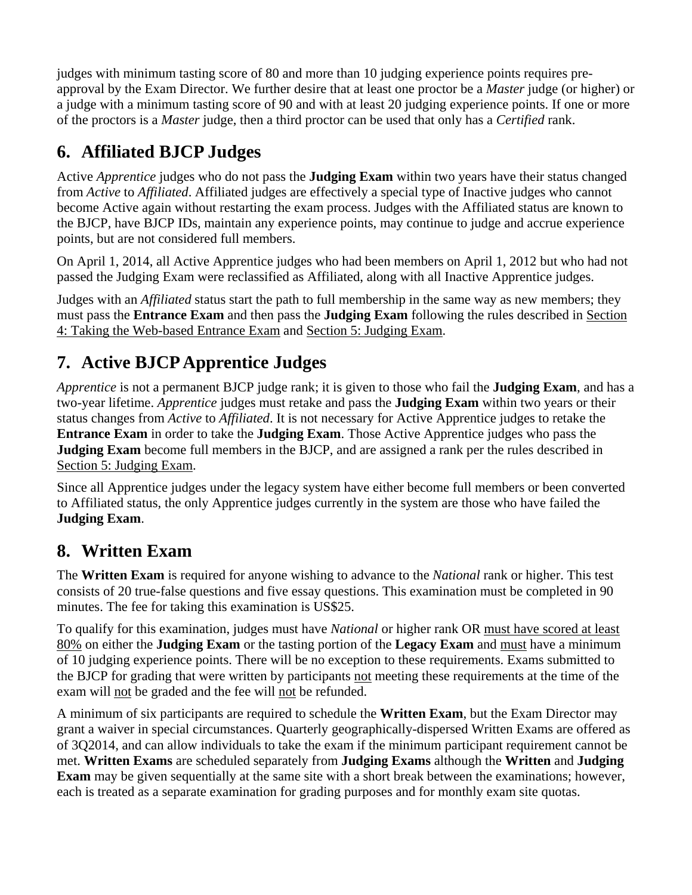judges with minimum tasting score of 80 and more than 10 judging experience points requires preapproval by the Exam Director. We further desire that at least one proctor be a *Master* judge (or higher) or a judge with a minimum tasting score of 90 and with at least 20 judging experience points. If one or more of the proctors is a *Master* judge, then a third proctor can be used that only has a *Certified* rank.

### <span id="page-4-0"></span>**6. Affiliated BJCP Judges**

Active *Apprentice* judges who do not pass the **Judging Exam** within two years have their status changed from *Active* to *Affiliated*. Affiliated judges are effectively a special type of Inactive judges who cannot become Active again without restarting the exam process. Judges with the Affiliated status are known to the BJCP, have BJCP IDs, maintain any experience points, may continue to judge and accrue experience points, but are not considered full members.

On April 1, 2014, all Active Apprentice judges who had been members on April 1, 2012 but who had not passed the Judging Exam were reclassified as Affiliated, along with all Inactive Apprentice judges.

Judges with an *Affiliated* status start the path to full membership in the same way as new members; they must pass the **Entrance Exam** and then pass the **Judging Exam** following the rules described in Section [4](#page-2-0): [Taking the Web-based Entrance Exam](#page-2-0) and Section [5](#page-3-0): [Judging Exam.](#page-3-0)

# <span id="page-4-1"></span>**7. Active BJCP Apprentice Judges**

*Apprentice* is not a permanent BJCP judge rank; it is given to those who fail the **Judging Exam**, and has a two-year lifetime. *Apprentice* judges must retake and pass the **Judging Exam** within two years or their status changes from *Active* to *Affiliated*. It is not necessary for Active Apprentice judges to retake the **Entrance Exam** in order to take the **Judging Exam**. Those Active Apprentice judges who pass the **Judging Exam** become full members in the BJCP, and are assigned a rank per the rules described in Section [5](#page-3-0): [Judging Exam.](#page-3-0)

Since all Apprentice judges under the legacy system have either become full members or been converted to Affiliated status, the only Apprentice judges currently in the system are those who have failed the **Judging Exam**.

### <span id="page-4-2"></span>**8. Written Exam**

The **Written Exam** is required for anyone wishing to advance to the *National* rank or higher. This test consists of 20 true-false questions and five essay questions. This examination must be completed in 90 minutes. The fee for taking this examination is US\$25.

To qualify for this examination, judges must have *National* or higher rank OR must have scored at least 80% on either the **Judging Exam** or the tasting portion of the **Legacy Exam** and must have a minimum of 10 judging experience points. There will be no exception to these requirements. Exams submitted to the BJCP for grading that were written by participants not meeting these requirements at the time of the exam will not be graded and the fee will not be refunded.

A minimum of six participants are required to schedule the **Written Exam**, but the Exam Director may grant a waiver in special circumstances. Quarterly geographically-dispersed Written Exams are offered as of 3Q2014, and can allow individuals to take the exam if the minimum participant requirement cannot be met. **Written Exams** are scheduled separately from **Judging Exams** although the **Written** and **Judging Exam** may be given sequentially at the same site with a short break between the examinations; however, each is treated as a separate examination for grading purposes and for monthly exam site quotas.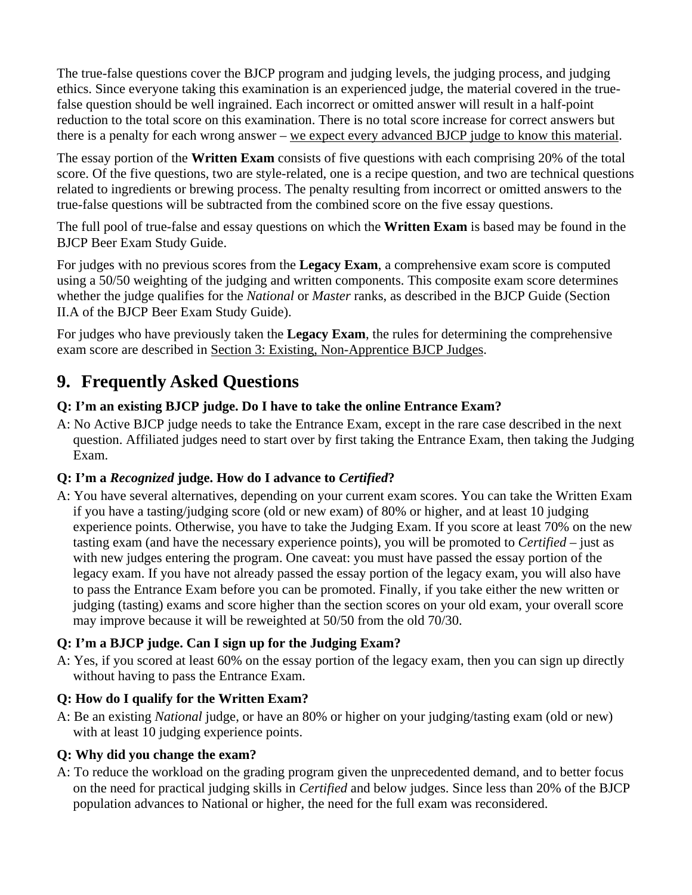The true-false questions cover the BJCP program and judging levels, the judging process, and judging ethics. Since everyone taking this examination is an experienced judge, the material covered in the truefalse question should be well ingrained. Each incorrect or omitted answer will result in a half-point reduction to the total score on this examination. There is no total score increase for correct answers but there is a penalty for each wrong answer – we expect every advanced BJCP judge to know this material.

The essay portion of the **Written Exam** consists of five questions with each comprising 20% of the total score. Of the five questions, two are style-related, one is a recipe question, and two are technical questions related to ingredients or brewing process. The penalty resulting from incorrect or omitted answers to the true-false questions will be subtracted from the combined score on the five essay questions.

The full pool of true-false and essay questions on which the **Written Exam** is based may be found in the BJCP Beer Exam Study Guide.

For judges with no previous scores from the **Legacy Exam**, a comprehensive exam score is computed using a 50/50 weighting of the judging and written components. This composite exam score determines whether the judge qualifies for the *National* or *Master* ranks, as described in the BJCP Guide (Section II.A of the BJCP Beer Exam Study Guide).

For judges who have previously taken the **Legacy Exam**, the rules for determining the comprehensive exam score are described in Section [3:](#page-1-1) [Existing, Non-Apprentice BJCP Judges.](#page-1-1)

### <span id="page-5-0"></span>**9. Frequently Asked Questions**

#### **Q: I'm an existing BJCP judge. Do I have to take the online Entrance Exam?**

A: No Active BJCP judge needs to take the Entrance Exam, except in the rare case described in the next question. Affiliated judges need to start over by first taking the Entrance Exam, then taking the Judging Exam.

#### **Q: I'm a** *Recognized* **judge. How do I advance to** *Certified***?**

A: You have several alternatives, depending on your current exam scores. You can take the Written Exam if you have a tasting/judging score (old or new exam) of 80% or higher, and at least 10 judging experience points. Otherwise, you have to take the Judging Exam. If you score at least 70% on the new tasting exam (and have the necessary experience points), you will be promoted to *Certified* – just as with new judges entering the program. One caveat: you must have passed the essay portion of the legacy exam. If you have not already passed the essay portion of the legacy exam, you will also have to pass the Entrance Exam before you can be promoted. Finally, if you take either the new written or judging (tasting) exams and score higher than the section scores on your old exam, your overall score may improve because it will be reweighted at 50/50 from the old 70/30.

#### **Q: I'm a BJCP judge. Can I sign up for the Judging Exam?**

A: Yes, if you scored at least 60% on the essay portion of the legacy exam, then you can sign up directly without having to pass the Entrance Exam.

#### **Q: How do I qualify for the Written Exam?**

A: Be an existing *National* judge, or have an 80% or higher on your judging/tasting exam (old or new) with at least 10 judging experience points.

#### **Q: Why did you change the exam?**

A: To reduce the workload on the grading program given the unprecedented demand, and to better focus on the need for practical judging skills in *Certified* and below judges. Since less than 20% of the BJCP population advances to National or higher, the need for the full exam was reconsidered.